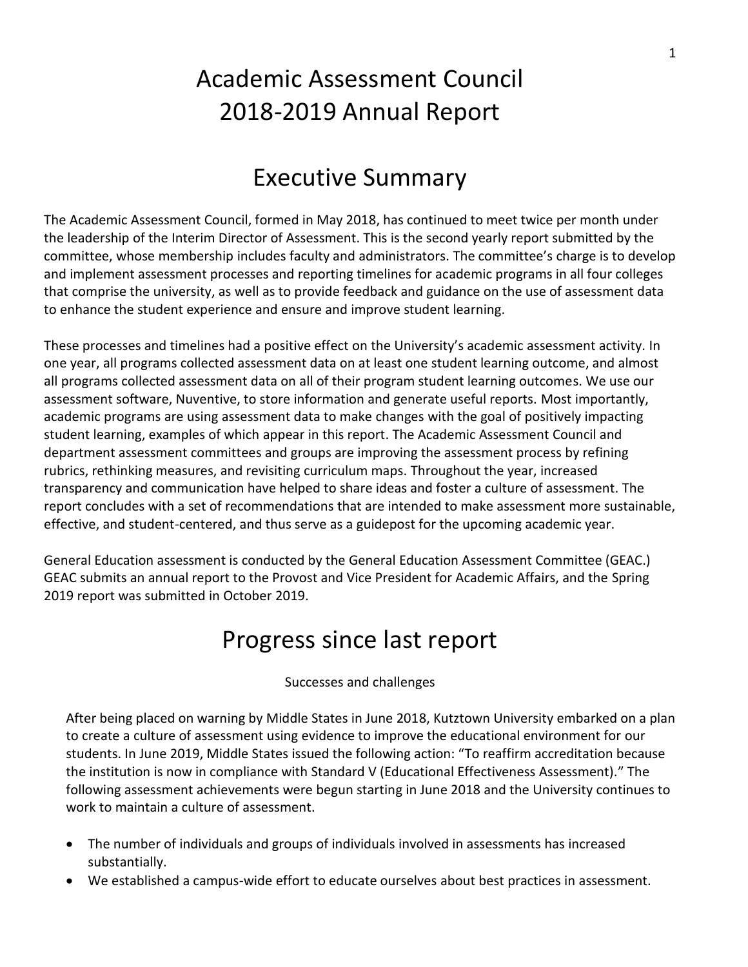# Academic Assessment Council 2018-2019 Annual Report

### Executive Summary

The Academic Assessment Council, formed in May 2018, has continued to meet twice per month under the leadership of the Interim Director of Assessment. This is the second yearly report submitted by the committee, whose membership includes faculty and administrators. The committee's charge is to develop and implement assessment processes and reporting timelines for academic programs in all four colleges that comprise the university, as well as to provide feedback and guidance on the use of assessment data to enhance the student experience and ensure and improve student learning.

These processes and timelines had a positive effect on the University's academic assessment activity. In one year, all programs collected assessment data on at least one student learning outcome, and almost all programs collected assessment data on all of their program student learning outcomes. We use our assessment software, Nuventive, to store information and generate useful reports. Most importantly, academic programs are using assessment data to make changes with the goal of positively impacting student learning, examples of which appear in this report. The Academic Assessment Council and department assessment committees and groups are improving the assessment process by refining rubrics, rethinking measures, and revisiting curriculum maps. Throughout the year, increased transparency and communication have helped to share ideas and foster a culture of assessment. The report concludes with a set of recommendations that are intended to make assessment more sustainable, effective, and student-centered, and thus serve as a guidepost for the upcoming academic year.

General Education assessment is conducted by the General Education Assessment Committee (GEAC.) GEAC submits an annual report to the Provost and Vice President for Academic Affairs, and the Spring 2019 report was submitted in October 2019.

### Progress since last report

Successes and challenges

After being placed on warning by Middle States in June 2018, Kutztown University embarked on a plan to create a culture of assessment using evidence to improve the educational environment for our students. In June 2019, Middle States issued the following action: "To reaffirm accreditation because the institution is now in compliance with Standard V (Educational Effectiveness Assessment)." The following assessment achievements were begun starting in June 2018 and the University continues to work to maintain a culture of assessment.

- The number of individuals and groups of individuals involved in assessments has increased substantially.
- We established a campus-wide effort to educate ourselves about best practices in assessment.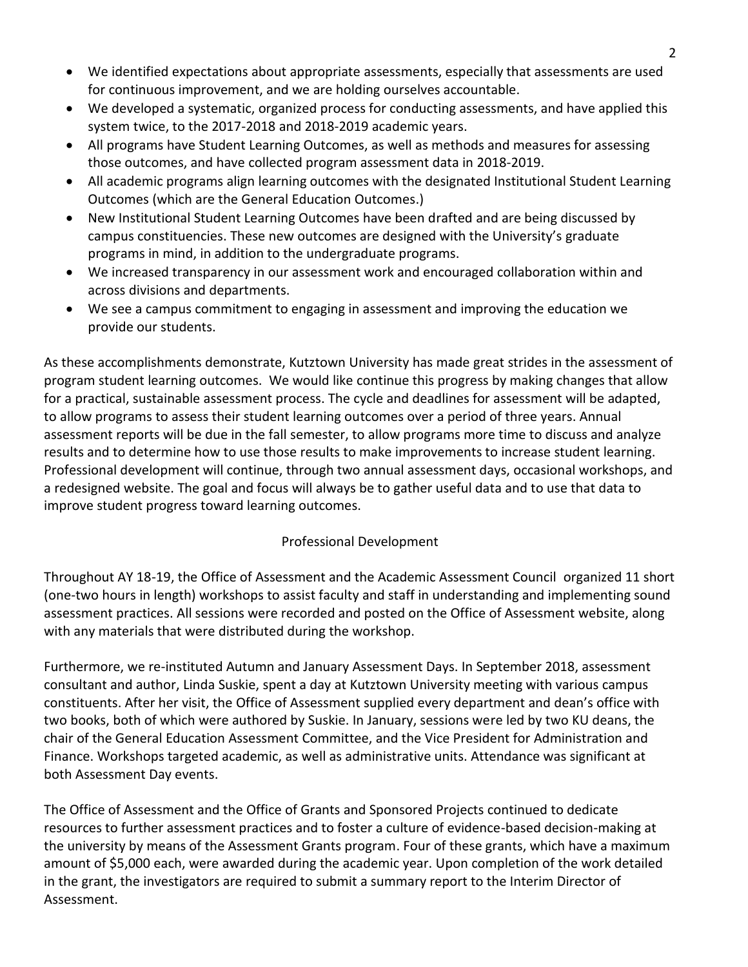- We identified expectations about appropriate assessments, especially that assessments are used for continuous improvement, and we are holding ourselves accountable.
- We developed a systematic, organized process for conducting assessments, and have applied this system twice, to the 2017-2018 and 2018-2019 academic years.
- All programs have Student Learning Outcomes, as well as methods and measures for assessing those outcomes, and have collected program assessment data in 2018-2019.
- All academic programs align learning outcomes with the designated Institutional Student Learning Outcomes (which are the General Education Outcomes.)
- New Institutional Student Learning Outcomes have been drafted and are being discussed by campus constituencies. These new outcomes are designed with the University's graduate programs in mind, in addition to the undergraduate programs.
- We increased transparency in our assessment work and encouraged collaboration within and across divisions and departments.
- We see a campus commitment to engaging in assessment and improving the education we provide our students.

As these accomplishments demonstrate, Kutztown University has made great strides in the assessment of program student learning outcomes. We would like continue this progress by making changes that allow for a practical, sustainable assessment process. The cycle and deadlines for assessment will be adapted, to allow programs to assess their student learning outcomes over a period of three years. Annual assessment reports will be due in the fall semester, to allow programs more time to discuss and analyze results and to determine how to use those results to make improvements to increase student learning. Professional development will continue, through two annual assessment days, occasional workshops, and a redesigned website. The goal and focus will always be to gather useful data and to use that data to improve student progress toward learning outcomes.

#### Professional Development

Throughout AY 18-19, the Office of Assessment and the Academic Assessment Council organized 11 short (one-two hours in length) workshops to assist faculty and staff in understanding and implementing sound assessment practices. All sessions were recorded and posted on the Office of Assessment website, along with any materials that were distributed during the workshop.

Furthermore, we re-instituted Autumn and January Assessment Days. In September 2018, assessment consultant and author, Linda Suskie, spent a day at Kutztown University meeting with various campus constituents. After her visit, the Office of Assessment supplied every department and dean's office with two books, both of which were authored by Suskie. In January, sessions were led by two KU deans, the chair of the General Education Assessment Committee, and the Vice President for Administration and Finance. Workshops targeted academic, as well as administrative units. Attendance was significant at both Assessment Day events.

The Office of Assessment and the Office of Grants and Sponsored Projects continued to dedicate resources to further assessment practices and to foster a culture of evidence-based decision-making at the university by means of the Assessment Grants program. Four of these grants, which have a maximum amount of \$5,000 each, were awarded during the academic year. Upon completion of the work detailed in the grant, the investigators are required to submit a summary report to the Interim Director of Assessment.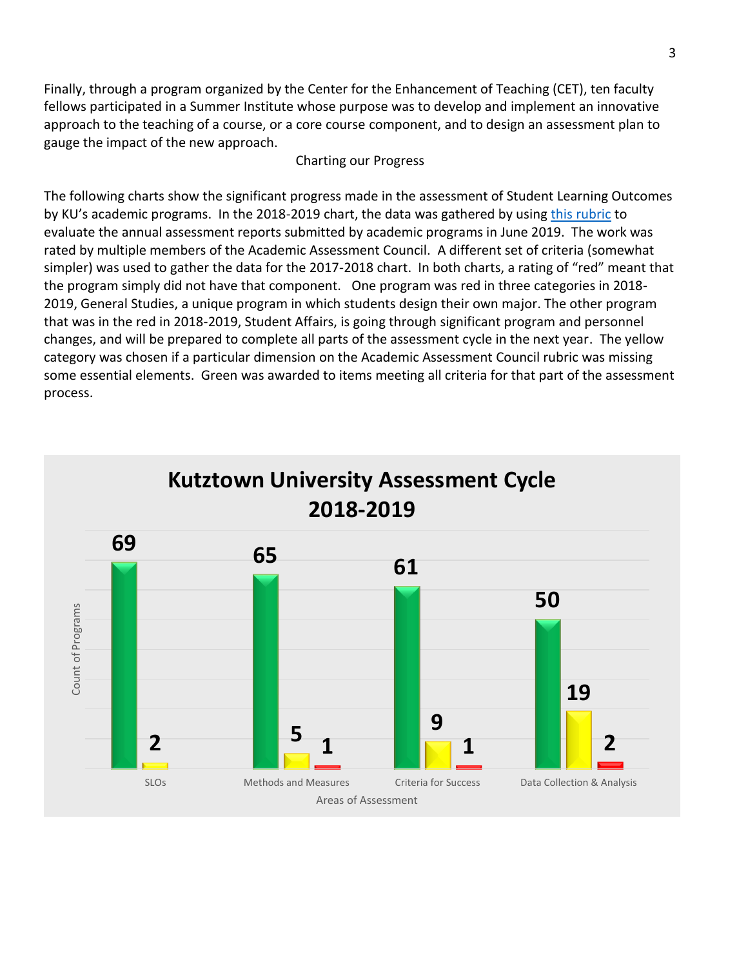Finally, through a program organized by the Center for the Enhancement of Teaching (CET), ten faculty fellows participated in a Summer Institute whose purpose was to develop and implement an innovative approach to the teaching of a course, or a core course component, and to design an assessment plan to gauge the impact of the new approach.

#### Charting our Progress

The following charts show the significant progress made in the assessment of Student Learning Outcomes by KU's academic programs. In the 2018-2019 chart, the data was gathered by using [this rubric](https://www.kutztown.edu/Departments-Offices/A-F/Assessment/Documents/assessment%20rubric%20august%202019.xlsx) to evaluate the annual assessment reports submitted by academic programs in June 2019. The work was rated by multiple members of the Academic Assessment Council. A different set of criteria (somewhat simpler) was used to gather the data for the 2017-2018 chart. In both charts, a rating of "red" meant that the program simply did not have that component. One program was red in three categories in 2018- 2019, General Studies, a unique program in which students design their own major. The other program that was in the red in 2018-2019, Student Affairs, is going through significant program and personnel changes, and will be prepared to complete all parts of the assessment cycle in the next year. The yellow category was chosen if a particular dimension on the Academic Assessment Council rubric was missing some essential elements. Green was awarded to items meeting all criteria for that part of the assessment process.

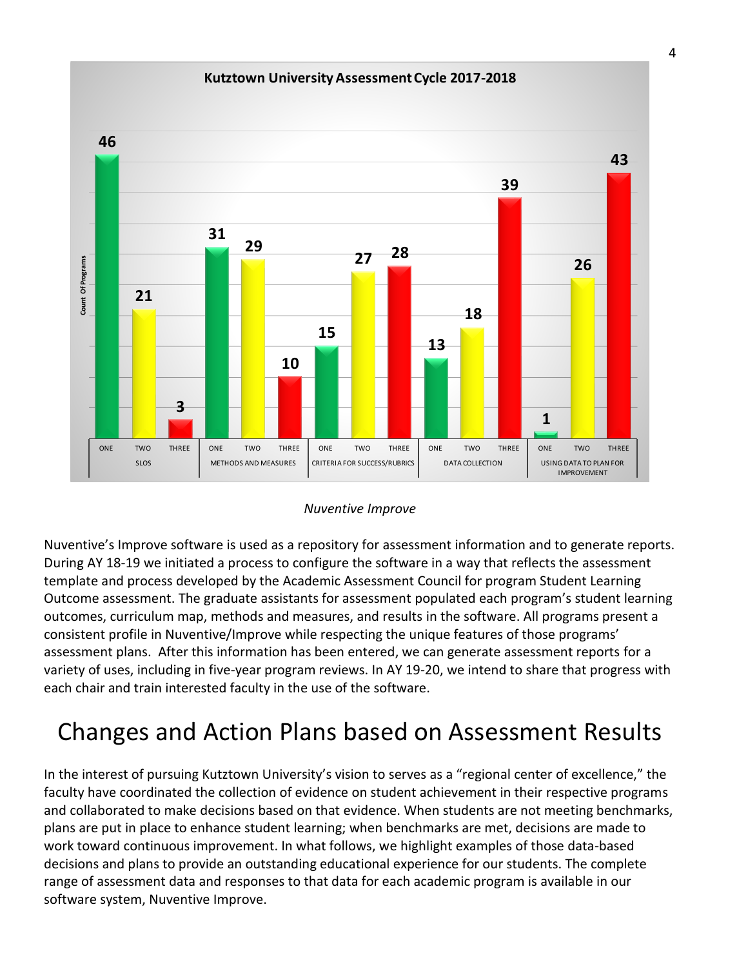#### **Kutztown University Assessment Cycle 2017-2018**



#### *Nuventive Improve*

Nuventive's Improve software is used as a repository for assessment information and to generate reports. During AY 18-19 we initiated a process to configure the software in a way that reflects the assessment template and process developed by the Academic Assessment Council for program Student Learning Outcome assessment. The graduate assistants for assessment populated each program's student learning outcomes, curriculum map, methods and measures, and results in the software. All programs present a consistent profile in Nuventive/Improve while respecting the unique features of those programs' assessment plans. After this information has been entered, we can generate assessment reports for a variety of uses, including in five-year program reviews. In AY 19-20, we intend to share that progress with each chair and train interested faculty in the use of the software.

## Changes and Action Plans based on Assessment Results

In the interest of pursuing Kutztown University's vision to serves as a "regional center of excellence," the faculty have coordinated the collection of evidence on student achievement in their respective programs and collaborated to make decisions based on that evidence. When students are not meeting benchmarks, plans are put in place to enhance student learning; when benchmarks are met, decisions are made to work toward continuous improvement. In what follows, we highlight examples of those data-based decisions and plans to provide an outstanding educational experience for our students. The complete range of assessment data and responses to that data for each academic program is available in our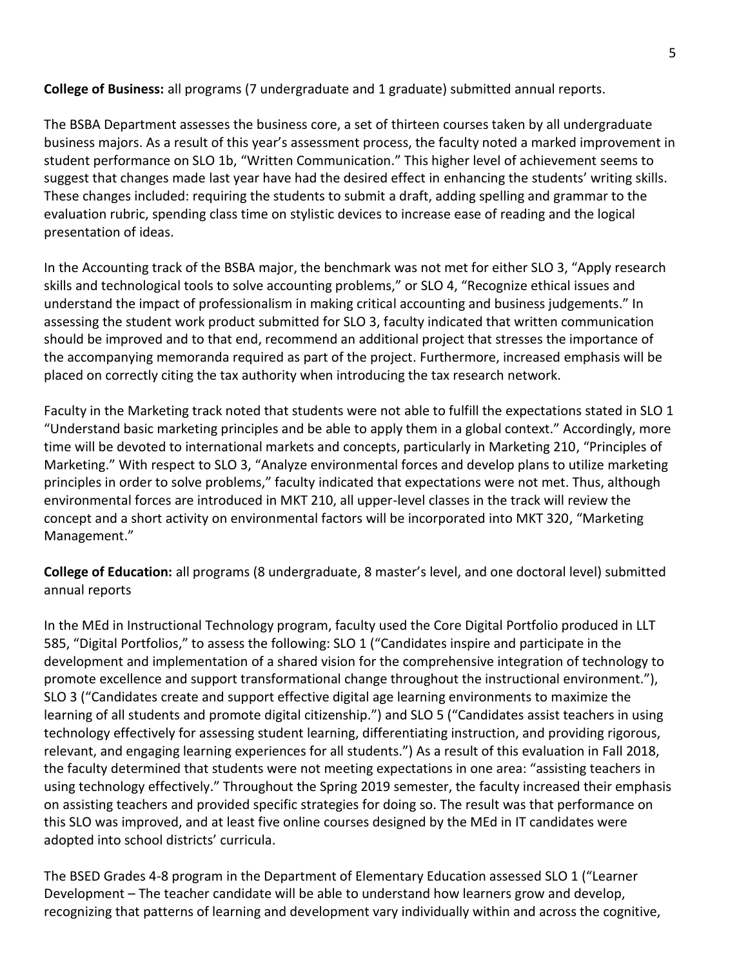**College of Business:** all programs (7 undergraduate and 1 graduate) submitted annual reports.

The BSBA Department assesses the business core, a set of thirteen courses taken by all undergraduate business majors. As a result of this year's assessment process, the faculty noted a marked improvement in student performance on SLO 1b, "Written Communication." This higher level of achievement seems to suggest that changes made last year have had the desired effect in enhancing the students' writing skills. These changes included: requiring the students to submit a draft, adding spelling and grammar to the evaluation rubric, spending class time on stylistic devices to increase ease of reading and the logical presentation of ideas.

In the Accounting track of the BSBA major, the benchmark was not met for either SLO 3, "Apply research skills and technological tools to solve accounting problems," or SLO 4, "Recognize ethical issues and understand the impact of professionalism in making critical accounting and business judgements." In assessing the student work product submitted for SLO 3, faculty indicated that written communication should be improved and to that end, recommend an additional project that stresses the importance of the accompanying memoranda required as part of the project. Furthermore, increased emphasis will be placed on correctly citing the tax authority when introducing the tax research network.

Faculty in the Marketing track noted that students were not able to fulfill the expectations stated in SLO 1 "Understand basic marketing principles and be able to apply them in a global context." Accordingly, more time will be devoted to international markets and concepts, particularly in Marketing 210, "Principles of Marketing." With respect to SLO 3, "Analyze environmental forces and develop plans to utilize marketing principles in order to solve problems," faculty indicated that expectations were not met. Thus, although environmental forces are introduced in MKT 210, all upper-level classes in the track will review the concept and a short activity on environmental factors will be incorporated into MKT 320, "Marketing Management."

**College of Education:** all programs (8 undergraduate, 8 master's level, and one doctoral level) submitted annual reports

In the MEd in Instructional Technology program, faculty used the Core Digital Portfolio produced in LLT 585, "Digital Portfolios," to assess the following: SLO 1 ("Candidates inspire and participate in the development and implementation of a shared vision for the comprehensive integration of technology to promote excellence and support transformational change throughout the instructional environment."), SLO 3 ("Candidates create and support effective digital age learning environments to maximize the learning of all students and promote digital citizenship.") and SLO 5 ("Candidates assist teachers in using technology effectively for assessing student learning, differentiating instruction, and providing rigorous, relevant, and engaging learning experiences for all students.") As a result of this evaluation in Fall 2018, the faculty determined that students were not meeting expectations in one area: "assisting teachers in using technology effectively." Throughout the Spring 2019 semester, the faculty increased their emphasis on assisting teachers and provided specific strategies for doing so. The result was that performance on this SLO was improved, and at least five online courses designed by the MEd in IT candidates were adopted into school districts' curricula.

The BSED Grades 4-8 program in the Department of Elementary Education assessed SLO 1 ("Learner Development – The teacher candidate will be able to understand how learners grow and develop, recognizing that patterns of learning and development vary individually within and across the cognitive,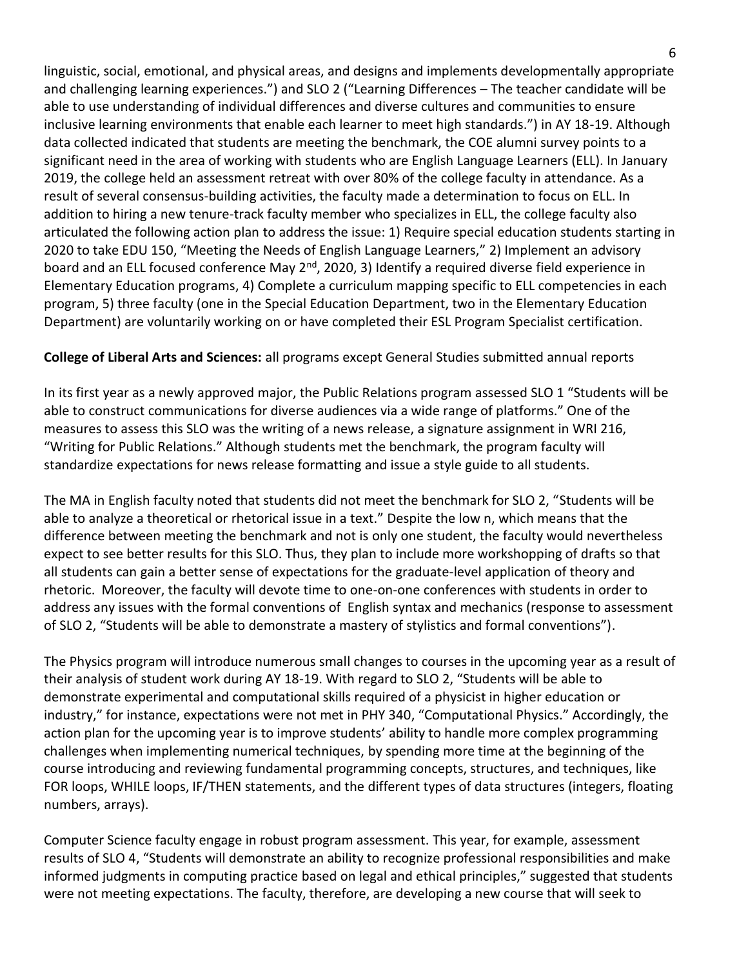linguistic, social, emotional, and physical areas, and designs and implements developmentally appropriate and challenging learning experiences.") and SLO 2 ("Learning Differences – The teacher candidate will be able to use understanding of individual differences and diverse cultures and communities to ensure inclusive learning environments that enable each learner to meet high standards.") in AY 18-19. Although data collected indicated that students are meeting the benchmark, the COE alumni survey points to a significant need in the area of working with students who are English Language Learners (ELL). In January 2019, the college held an assessment retreat with over 80% of the college faculty in attendance. As a result of several consensus-building activities, the faculty made a determination to focus on ELL. In addition to hiring a new tenure-track faculty member who specializes in ELL, the college faculty also articulated the following action plan to address the issue: 1) Require special education students starting in 2020 to take EDU 150, "Meeting the Needs of English Language Learners," 2) Implement an advisory board and an ELL focused conference May 2<sup>nd</sup>, 2020, 3) Identify a required diverse field experience in Elementary Education programs, 4) Complete a curriculum mapping specific to ELL competencies in each program, 5) three faculty (one in the Special Education Department, two in the Elementary Education Department) are voluntarily working on or have completed their ESL Program Specialist certification.

#### **College of Liberal Arts and Sciences:** all programs except General Studies submitted annual reports

In its first year as a newly approved major, the Public Relations program assessed SLO 1 "Students will be able to construct communications for diverse audiences via a wide range of platforms." One of the measures to assess this SLO was the writing of a news release, a signature assignment in WRI 216, "Writing for Public Relations." Although students met the benchmark, the program faculty will standardize expectations for news release formatting and issue a style guide to all students.

The MA in English faculty noted that students did not meet the benchmark for SLO 2, "Students will be able to analyze a theoretical or rhetorical issue in a text." Despite the low n, which means that the difference between meeting the benchmark and not is only one student, the faculty would nevertheless expect to see better results for this SLO. Thus, they plan to include more workshopping of drafts so that all students can gain a better sense of expectations for the graduate-level application of theory and rhetoric. Moreover, the faculty will devote time to one-on-one conferences with students in order to address any issues with the formal conventions of English syntax and mechanics (response to assessment of SLO 2, "Students will be able to demonstrate a mastery of stylistics and formal conventions").

The Physics program will introduce numerous small changes to courses in the upcoming year as a result of their analysis of student work during AY 18-19. With regard to SLO 2, "Students will be able to demonstrate experimental and computational skills required of a physicist in higher education or industry," for instance, expectations were not met in PHY 340, "Computational Physics." Accordingly, the action plan for the upcoming year is to improve students' ability to handle more complex programming challenges when implementing numerical techniques, by spending more time at the beginning of the course introducing and reviewing fundamental programming concepts, structures, and techniques, like FOR loops, WHILE loops, IF/THEN statements, and the different types of data structures (integers, floating numbers, arrays).

Computer Science faculty engage in robust program assessment. This year, for example, assessment results of SLO 4, "Students will demonstrate an ability to recognize professional responsibilities and make informed judgments in computing practice based on legal and ethical principles," suggested that students were not meeting expectations. The faculty, therefore, are developing a new course that will seek to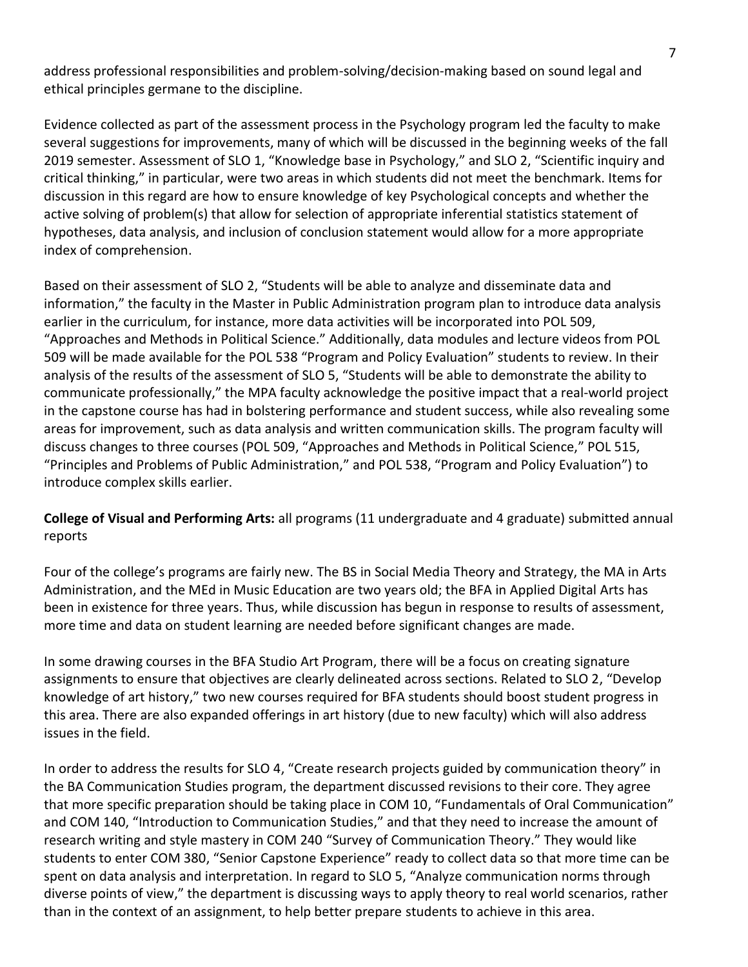address professional responsibilities and problem-solving/decision-making based on sound legal and ethical principles germane to the discipline.

Evidence collected as part of the assessment process in the Psychology program led the faculty to make several suggestions for improvements, many of which will be discussed in the beginning weeks of the fall 2019 semester. Assessment of SLO 1, "Knowledge base in Psychology," and SLO 2, "Scientific inquiry and critical thinking," in particular, were two areas in which students did not meet the benchmark. Items for discussion in this regard are how to ensure knowledge of key Psychological concepts and whether the active solving of problem(s) that allow for selection of appropriate inferential statistics statement of hypotheses, data analysis, and inclusion of conclusion statement would allow for a more appropriate index of comprehension.

Based on their assessment of SLO 2, "Students will be able to analyze and disseminate data and information," the faculty in the Master in Public Administration program plan to introduce data analysis earlier in the curriculum, for instance, more data activities will be incorporated into POL 509, "Approaches and Methods in Political Science." Additionally, data modules and lecture videos from POL 509 will be made available for the POL 538 "Program and Policy Evaluation" students to review. In their analysis of the results of the assessment of SLO 5, "Students will be able to demonstrate the ability to communicate professionally," the MPA faculty acknowledge the positive impact that a real-world project in the capstone course has had in bolstering performance and student success, while also revealing some areas for improvement, such as data analysis and written communication skills. The program faculty will discuss changes to three courses (POL 509, "Approaches and Methods in Political Science," POL 515, "Principles and Problems of Public Administration," and POL 538, "Program and Policy Evaluation") to introduce complex skills earlier.

**College of Visual and Performing Arts:** all programs (11 undergraduate and 4 graduate) submitted annual reports

Four of the college's programs are fairly new. The BS in Social Media Theory and Strategy, the MA in Arts Administration, and the MEd in Music Education are two years old; the BFA in Applied Digital Arts has been in existence for three years. Thus, while discussion has begun in response to results of assessment, more time and data on student learning are needed before significant changes are made.

In some drawing courses in the BFA Studio Art Program, there will be a focus on creating signature assignments to ensure that objectives are clearly delineated across sections. Related to SLO 2, "Develop knowledge of art history," two new courses required for BFA students should boost student progress in this area. There are also expanded offerings in art history (due to new faculty) which will also address issues in the field.

In order to address the results for SLO 4, "Create research projects guided by communication theory" in the BA Communication Studies program, the department discussed revisions to their core. They agree that more specific preparation should be taking place in COM 10, "Fundamentals of Oral Communication" and COM 140, "Introduction to Communication Studies," and that they need to increase the amount of research writing and style mastery in COM 240 "Survey of Communication Theory." They would like students to enter COM 380, "Senior Capstone Experience" ready to collect data so that more time can be spent on data analysis and interpretation. In regard to SLO 5, "Analyze communication norms through diverse points of view," the department is discussing ways to apply theory to real world scenarios, rather than in the context of an assignment, to help better prepare students to achieve in this area.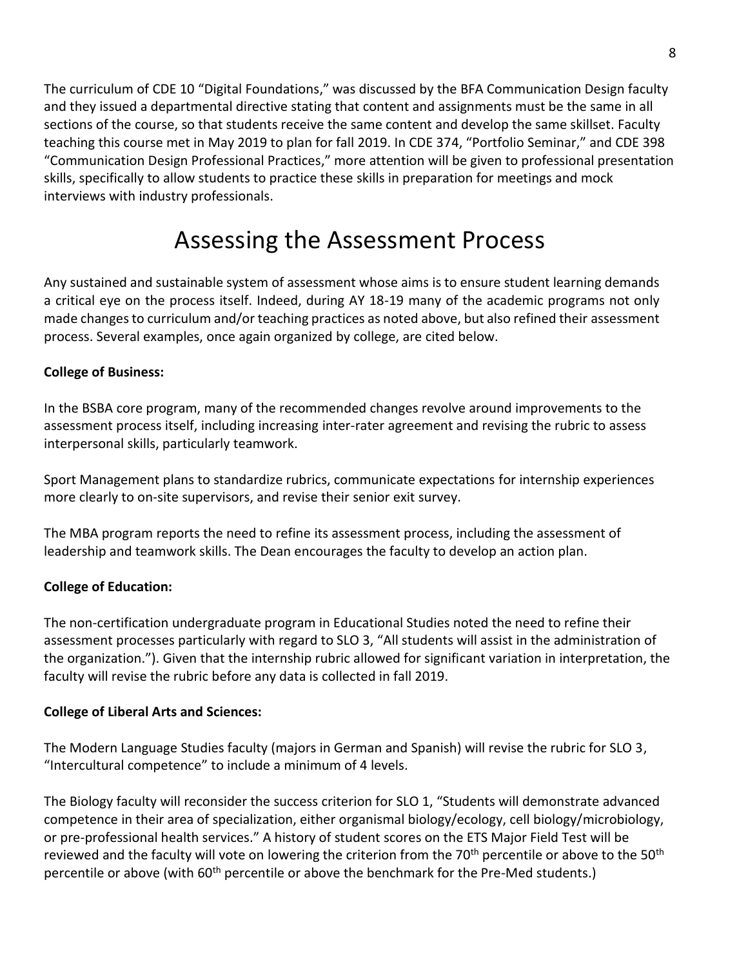The curriculum of CDE 10 "Digital Foundations," was discussed by the BFA Communication Design faculty and they issued a departmental directive stating that content and assignments must be the same in all sections of the course, so that students receive the same content and develop the same skillset. Faculty teaching this course met in May 2019 to plan for fall 2019. In CDE 374, "Portfolio Seminar," and CDE 398 "Communication Design Professional Practices," more attention will be given to professional presentation skills, specifically to allow students to practice these skills in preparation for meetings and mock interviews with industry professionals.

# Assessing the Assessment Process

Any sustained and sustainable system of assessment whose aims is to ensure student learning demands a critical eye on the process itself. Indeed, during AY 18-19 many of the academic programs not only made changes to curriculum and/or teaching practices as noted above, but also refined their assessment process. Several examples, once again organized by college, are cited below.

#### **College of Business:**

In the BSBA core program, many of the recommended changes revolve around improvements to the assessment process itself, including increasing inter-rater agreement and revising the rubric to assess interpersonal skills, particularly teamwork.

Sport Management plans to standardize rubrics, communicate expectations for internship experiences more clearly to on-site supervisors, and revise their senior exit survey.

The MBA program reports the need to refine its assessment process, including the assessment of leadership and teamwork skills. The Dean encourages the faculty to develop an action plan.

#### **College of Education:**

The non-certification undergraduate program in Educational Studies noted the need to refine their assessment processes particularly with regard to SLO 3, "All students will assist in the administration of the organization."). Given that the internship rubric allowed for significant variation in interpretation, the faculty will revise the rubric before any data is collected in fall 2019.

#### **College of Liberal Arts and Sciences:**

The Modern Language Studies faculty (majors in German and Spanish) will revise the rubric for SLO 3, "Intercultural competence" to include a minimum of 4 levels.

The Biology faculty will reconsider the success criterion for SLO 1, "Students will demonstrate advanced competence in their area of specialization, either organismal biology/ecology, cell biology/microbiology, or pre-professional health services." A history of student scores on the ETS Major Field Test will be reviewed and the faculty will vote on lowering the criterion from the 70<sup>th</sup> percentile or above to the 50<sup>th</sup> percentile or above (with 60<sup>th</sup> percentile or above the benchmark for the Pre-Med students.)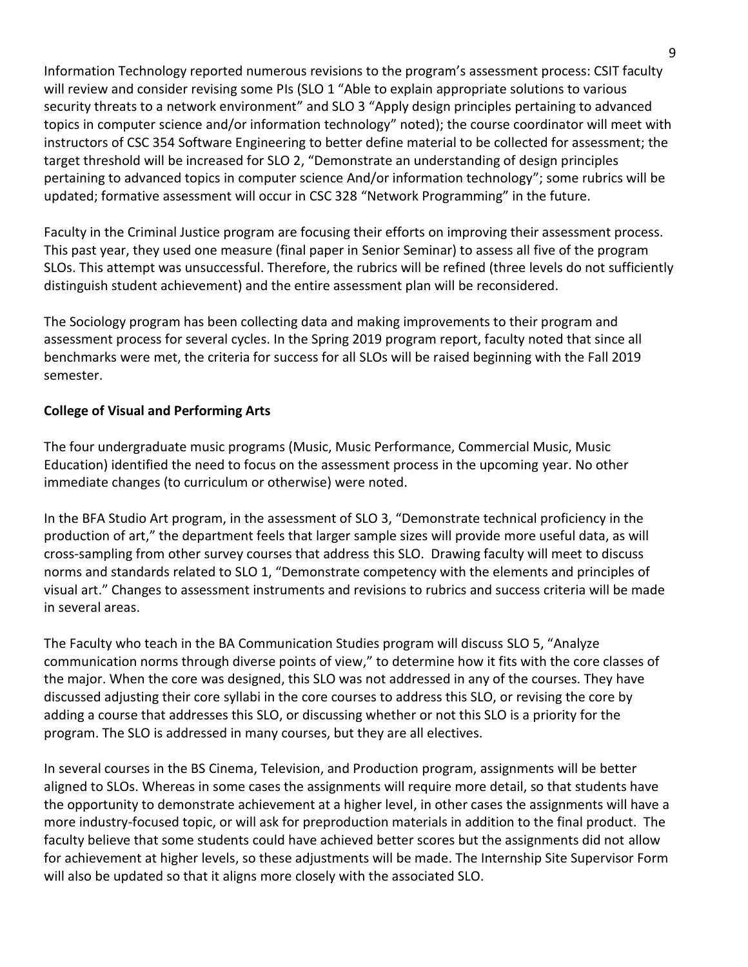Information Technology reported numerous revisions to the program's assessment process: CSIT faculty will review and consider revising some PIs (SLO 1 "Able to explain appropriate solutions to various security threats to a network environment" and SLO 3 "Apply design principles pertaining to advanced topics in computer science and/or information technology" noted); the course coordinator will meet with instructors of CSC 354 Software Engineering to better define material to be collected for assessment; the target threshold will be increased for SLO 2, "Demonstrate an understanding of design principles pertaining to advanced topics in computer science And/or information technology"; some rubrics will be updated; formative assessment will occur in CSC 328 "Network Programming" in the future.

Faculty in the Criminal Justice program are focusing their efforts on improving their assessment process. This past year, they used one measure (final paper in Senior Seminar) to assess all five of the program SLOs. This attempt was unsuccessful. Therefore, the rubrics will be refined (three levels do not sufficiently distinguish student achievement) and the entire assessment plan will be reconsidered.

The Sociology program has been collecting data and making improvements to their program and assessment process for several cycles. In the Spring 2019 program report, faculty noted that since all benchmarks were met, the criteria for success for all SLOs will be raised beginning with the Fall 2019 semester.

#### **College of Visual and Performing Arts**

The four undergraduate music programs (Music, Music Performance, Commercial Music, Music Education) identified the need to focus on the assessment process in the upcoming year. No other immediate changes (to curriculum or otherwise) were noted.

In the BFA Studio Art program, in the assessment of SLO 3, "Demonstrate technical proficiency in the production of art," the department feels that larger sample sizes will provide more useful data, as will cross-sampling from other survey courses that address this SLO. Drawing faculty will meet to discuss norms and standards related to SLO 1, "Demonstrate competency with the elements and principles of visual art." Changes to assessment instruments and revisions to rubrics and success criteria will be made in several areas.

The Faculty who teach in the BA Communication Studies program will discuss SLO 5, "Analyze communication norms through diverse points of view," to determine how it fits with the core classes of the major. When the core was designed, this SLO was not addressed in any of the courses. They have discussed adjusting their core syllabi in the core courses to address this SLO, or revising the core by adding a course that addresses this SLO, or discussing whether or not this SLO is a priority for the program. The SLO is addressed in many courses, but they are all electives.

In several courses in the BS Cinema, Television, and Production program, assignments will be better aligned to SLOs. Whereas in some cases the assignments will require more detail, so that students have the opportunity to demonstrate achievement at a higher level, in other cases the assignments will have a more industry-focused topic, or will ask for preproduction materials in addition to the final product. The faculty believe that some students could have achieved better scores but the assignments did not allow for achievement at higher levels, so these adjustments will be made. The Internship Site Supervisor Form will also be updated so that it aligns more closely with the associated SLO.